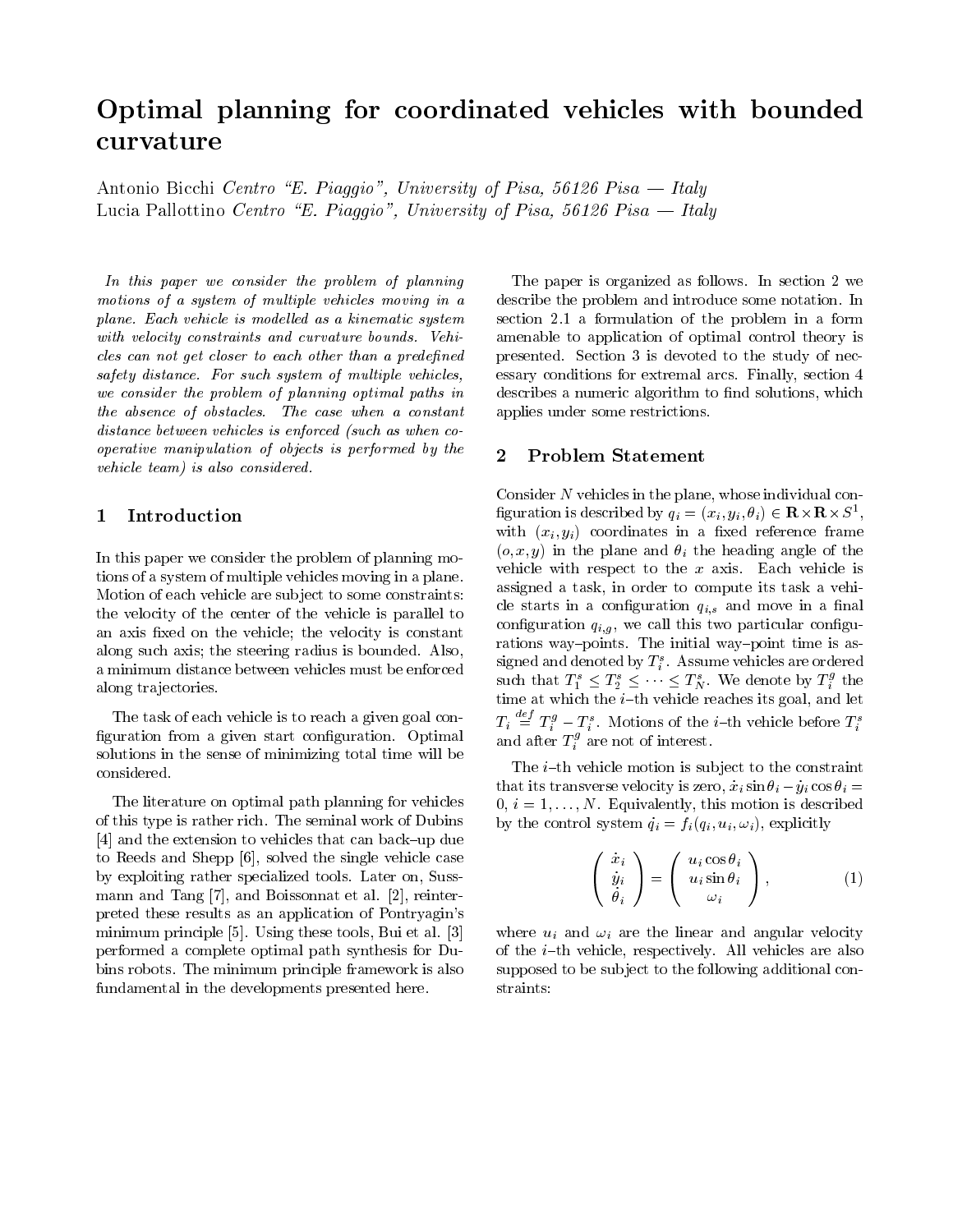# Optimal planning for coordinated vehicles with bounded curvature

Antonio Bicchi Centro E- Piaggio University of Pisa Pisa Italy Lucia Pallottino Centro E- Piaggio University of Pisa Pisa Italy

In this paper we consider the problem of planning motions of <sup>a</sup> system of multiple vehicles moving in <sup>a</sup>  $p$ iane. Each vehicle is modelled as a kinematic system  $\sim$  section  $\sim$ with a state of states and curvature bounds and curvature bounds vehicles. cles can not get closer to each other than a predened safety distance For such system of multiple vehicles we consider the provincing of planning optimized paths in a capture the absence of obstacles The case when <sup>a</sup> constant distance between vehicles is enforced (such as when  $co$ operative manipulation of objects is performed by the vehicle team is also considered.

#### Introduction  $\mathbf{1}$

In this paper we consider the problem of planning mo tions of a system of multiple vehicles moving in a plane-Motion of each vehicle are sub ject to some constraints the velocity of the center of the vehicle is parallel to an axis fixed on the vehicle; the velocity is constant along such asis the steering radius is a steering radius in the steering of the steering of the steering of the a minimum distance between vehicles must be enforced along trajectories.

The task of each vehicle is to reach a given goal con guration from a given start conguration- Optimal solutions in the sense of minimizing total time will be

The literature on optimal path planning for vehicles of the seminal work of Dubins and the seminal work of Dubins and Walletter and Walletter and Walletter and Wal up die extension to vehicles that can be called the extension of the cancel of the canonical canonical canonic to Reeds and Shepp [6], solved the single vehicle case by exploiting rather specialized tools- Later on Suss mann and Boissonnat et al-Boissonnat et al-Boissonnat et al-Boissonnat et al-Boissonnat et al-Boissonnat et al preted these results as an application of Pontryagin's minimum principle is the commander of all  $\sim$  Bui et al. In the set of  $\sim$ performed a complete optimal path synthesis for Du bins robots- The minimum principle framework is also fundamental in the developments presented here.

amenable to application of optimal control to application of optimal control theory is described by a second co The paper is organized as follows-controllows-controllows-controllows-controllowsdescribe the problem and introduce some notation- In section and aformulation of the problem in aformulation of the problem in aformulation of the problem in aform presented- Section is devoted to the study of nec essary conditions for extremal arcs- Finally section describes a numeric algorithm to find solutions, which applies under some restrictions-

#### $\bf{2}$ Problem Statement

 assigned a task in order to compute its task a vehi Consider  $N$  vehicles in the plane, whose individual configuration is described by  $q_i = (x_i, y_i, \theta_i) \in \mathbf{R} \times \mathbf{R} \times S^{\perp}$ , the contract of the contract of the contract of the contract of the contract of with  $\{x_i\}_{i=1}^n$  and  $\{x_i\}_{i=1}^n$  coordinates in a sed reference framework framework.  $\alpha$  is y in the plane and -  $i$  the defining angle of the  $\alpha$ version with respect to the x axis- respect to the x axiscle starts in a configuration  $q_{i,g}$  and move in a natural conguration quantum conguration conguration conguration conguration conguration conguration conguration congu rations way points- The initial way point time is as signed and denoted by  $T_s$  . Assume vehicles are ordered such that  $T_1^s \leq T_2^s \leq \cdots \leq T_N^s$ . We denote by  $T_i^g$  the time at which the i th vehicle reaches its goal and let  $T_i \equiv T_i^g - T_i^s$ . Motions of the *i*-th vehicle before  $T_i^s$ and after  $T_i^s$  are not of interest.

The intervals of the intervals motion is substituted in the constraint of the constraints of the constraints of that its transverse velocity is zero,  $x_i$  sin  $v_i - y_i \cos v_i =$  i N- Equivalently this motion is described by the control system  $\mathcal{C}$  is the control system of  $\mathcal{C}$ 

$$
\begin{pmatrix}\n\dot{x}_i \\
\dot{y}_i \\
\dot{\theta}_i\n\end{pmatrix} = \begin{pmatrix}\nu_i \cos \theta_i \\
u_i \sin \theta_i \\
\omega_i\n\end{pmatrix},
$$
\n(1)

where  $u_i$  and  $u_j$  are the linear and angular velocity th vert i the interesting are placed they clear interesting which we have a supposed to be sub ject to the following additional con straints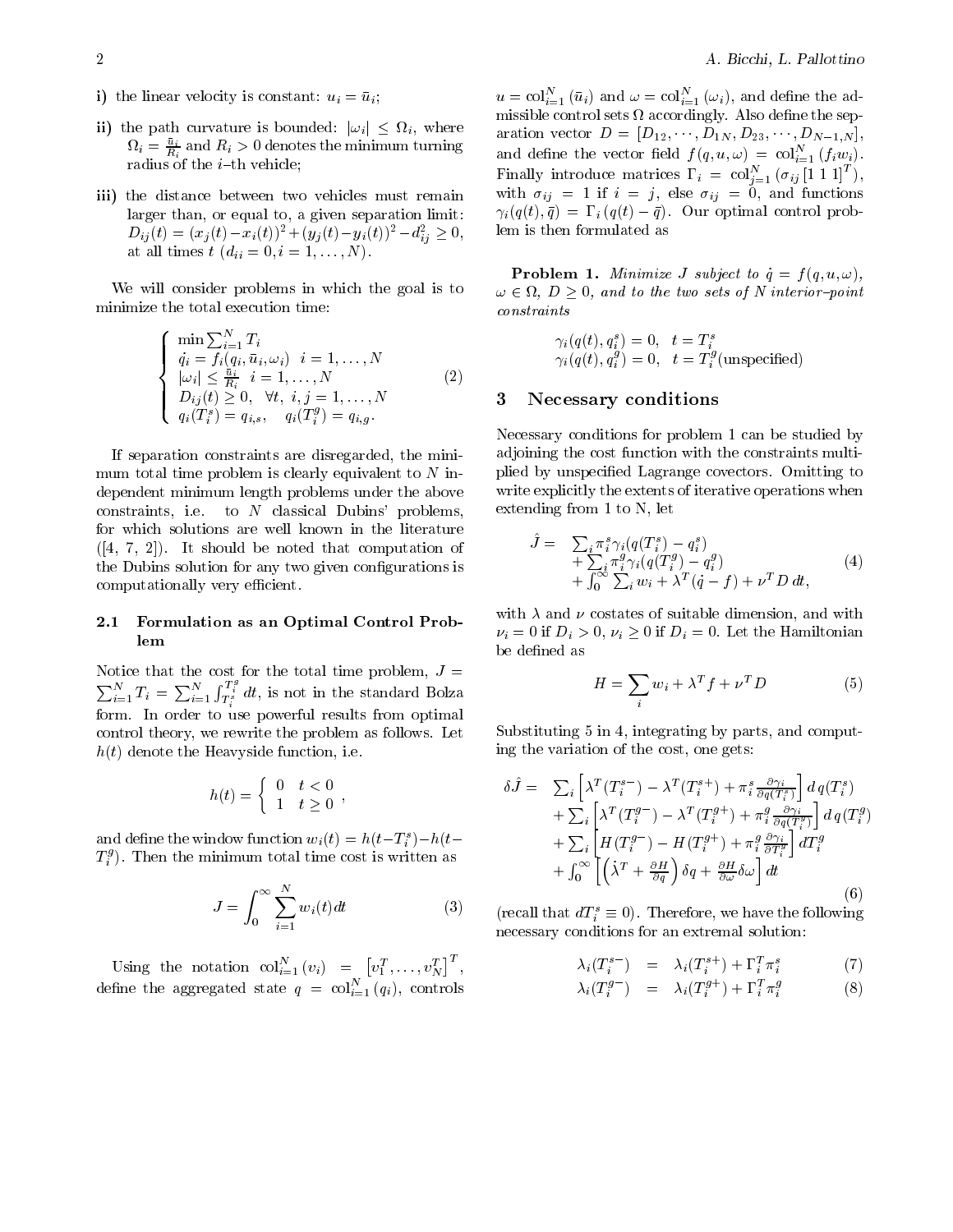- is a linear velocity is constant under  $\mathcal{L}_{\mathcal{U}}$  . In the unit under under under under the unit of  $\mathcal{U}$
- ii) the path curvature is bounded:  $|\omega_i| \leq \Omega_i$ , where  $\Omega_i = \frac{u_i}{R_i}$  and  $R_i > 0$  denotes the minimum turning and  $\sim$   $\sim$ radius of the internal control of the internal control of the internal control of the internal control of the i
- iii) the distance between two vehicles must remain larger than, or equal to, a given separation limit:  $D_{ij}(t) = (x_j(t) - x_i(t))^2 + (y_j(t) - y_i(t))^2 - d_{ij}^2 \ge 0,$  lem is at all times to  $\{A_i\}$  , we define the distribution of  $\{A_i\}$  and  $\{A_i\}$  are defined as  $\{A_i\}$

We will consider problems in which the goal is to minimize the total execution time

$$
\begin{cases}\n\min \sum_{i=1}^{N} T_i \\
\dot{q}_i = f_i(q_i, \bar{u}_i, \omega_i) & i = 1, ..., N \\
|\omega_i| \le \frac{\bar{u}_i}{R_i} & i = 1, ..., N \\
D_{ij}(t) \ge 0, \quad \forall t, \ i, j = 1, ..., N \\
q_i(T_i^s) = q_{i,s}, \quad q_i(T_i^g) = q_{i,g}.\n\end{cases}
$$
\n(2)

If separation constraints are disregarded, the minimum total time problem is clearly equivalent to  $N$  independent minimum length problems under the above constraints in the constraints in the constraints in the constraints of the constraints of the constraints of to  $N$  classical Dubins' problems, for which solutions are well known in the literature  $\mathbf{I}$  is shown be noted that computation of  $\mathbf{I}$  is a computation of  $\mathbf{I}$ the Dubins solution for any two given configurations is computationally very efficient.

### $2.1$  Formulation as an Optimal Control Prob lem

Notice that the cost for the total time problem,  $J =$  $\sum_{i=1}^{N} T_i = \sum_{i=1}^{N} \int_{T_i^s}^{T_i^s} dt$ , is not in the standard Bolza form- In order to use powerful results from optimal control theory we rewrite the problem as follows- Let ht denote the Heavyside function i-e-

$$
h(t) = \begin{cases} 0 & t < 0 \\ 1 & t \ge 0 \end{cases},
$$

and denne the window function  $w_i(t) = h(t-t_i) - h(t-t_i)$  $T_i^s$ ). Then the minimum total time cost is written as

$$
J = \int_0^\infty \sum_{i=1}^N w_i(t)dt
$$
 (3) (r

Using the notation  $col_{i=1}^N(v_i) = [v_1^T, \ldots, v_N^T]^T$ ,  $\vert$   $\vert$   $\vert$ define the aggregated state  $q~=~\mathrm{col}_{i=1}~(q_i),~\mathrm{controls}$ 

 $u = \mathrm{col}_{i=1} (u_i)$  and  $\omega = \mathrm{col}_{i=1} (\omega_i)$ , and define the admissible control sets in the sets and  $\pi$  , control the separate separate separate separate separate separate separate separate separate separate separate separate separate separate separate separate separate separate sep aration vector  $D = |D_1|_2, \ldots, |D_1|_N, |D_2|_3, \ldots, |D_{N-1}|_N$ and define the vector field  $f(q,u,\omega) = \mathrm{col}_{i=1}^+(f_iw_i)$ . Finally introduce matrices  $\Gamma_i = \text{col}_{i=1}^{\infty} (\sigma_{ij} [1\ 1\ 1]^{\dagger}),$ with its interesting in the function  $\mathcal{L}_1$  is an order functions of  $\mathcal{L}_2$  $i_j(q(t), q) = \mathbf{1}_i(q(t) - q)$ . Our optimal control problem is then formulated as

**Problem 1.** Minimize J subject to  $\dot{q} = f(q, u, \omega)$ ,  $\omega \in \Omega$ ,  $D > 0$ , and to the two sets of N interior-point constraints

> $\gamma_i(q(t), q_i) = 0, \quad t = 1$  $\gamma_i(q(t), q_i^s) = 0, \ \ t = T_i^s(\text{unspecified})$

### Necessary conditions

Necessary conditions for problem 1 can be studied by adjoining the cost function with the constraints multi plied by unspecies and the covectors-cover and the cover of the cover of the cover of the cover of the cover of the cover of the cover of the cover of the cover of the cover of the cover of the cover of the cover of the co write explicitly the extents of iterative operations when extending from  $1$  to  $N$ , let

$$
\tilde{J} = \sum_{i} \pi_{i}^{s} \gamma_{i} (q(T_{i}^{s}) - q_{i}^{s}) \n+ \sum_{i} \pi_{i}^{g} \gamma_{i} (q(T_{i}^{g}) - q_{i}^{g}) \n+ \int_{0}^{\infty} \sum_{i} w_{i} + \lambda^{T} (\dot{q} - f) + \nu^{T} D dt,
$$
\n(4)

with  $\alpha$  and with dimension and with dimension and with dimension and with dimension and with dimension and with  $\nu_i = 0$  if  $D_i > 0, \nu_i \geq 0$  if  $D_i = 0$ . Let the Hamiltonian be defined as

$$
H = \sum_{i} w_i + \lambda^T f + \nu^T D \tag{5}
$$

Substituting  $5$  in  $4$ , integrating by parts, and computing the variation of the cost, one gets:

$$
\delta \hat{J} = \sum_{i} \left[ \lambda^{T} (T_{i}^{s-}) - \lambda^{T} (T_{i}^{s+}) + \pi_{i}^{s} \frac{\partial \gamma_{i}}{\partial q (T_{i}^{s})} \right] d q (T_{i}^{s}) \n+ \sum_{i} \left[ \lambda^{T} (T_{i}^{g-}) - \lambda^{T} (T_{i}^{g+}) + \pi_{i}^{g} \frac{\partial \gamma_{i}}{\partial q (T_{i}^{g})} \right] d q (T_{i}^{g}) \n+ \sum_{i} \left[ H (T_{i}^{g-}) - H (T_{i}^{g+}) + \pi_{i}^{g} \frac{\partial \gamma_{i}}{\partial T_{i}^{g}} \right] d T_{i}^{g} \n+ \int_{0}^{\infty} \left[ \left( \lambda^{T} + \frac{\partial H}{\partial q} \right) \delta q + \frac{\partial H}{\partial \omega} \delta \omega \right] dt
$$
\n(6)

(recall that  $aT_i^* \equiv 0$ ). Therefore, we have the following necessary conditions for an extremal solution

$$
\lambda_i(T_i^{s-}) = \lambda_i(T_i^{s+}) + \Gamma_i^T \pi_i^s \tag{7}
$$

$$
\lambda_i(T_i^{g-}) = \lambda_i(T_i^{g+}) + \Gamma_i^T \pi_i^g \tag{8}
$$

i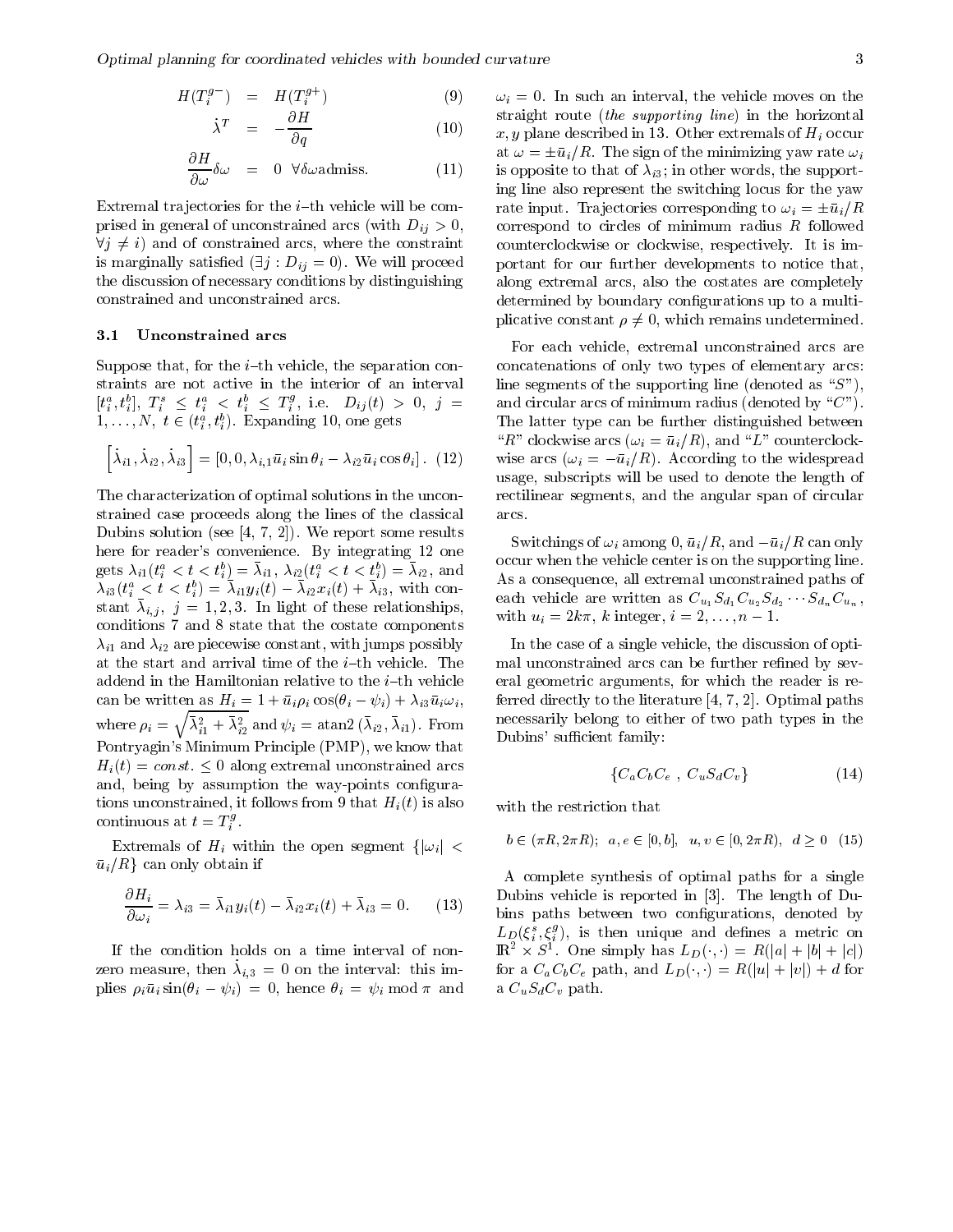$$
H(T_i^{g-}) = H(T_i^{g+}) \qquad (9) \qquad \omega
$$

$$
\dot{\lambda}^T = -\frac{\partial H}{\partial q} \tag{10} \qquad \qquad \frac{\text{st}}{x}
$$

$$
\frac{\partial H}{\partial \omega} \delta \omega = 0 \quad \forall \delta \omega \text{admiss.} \tag{11}
$$

. The interaction for the interaction for the interaction  $\mathbf{f}_t$ prised in general of unconstrained arcs (with  $D_{ij} > 0$ ,  $\forall j \neq i$  and of constrained arcs, where the constraint is marginally satisfied  $(\exists j : D_{ij} = 0)$ . We will proceed port: the discussion of necessary conditions by distinguishing constrained and unconstrained arcs-

### Unconstrained arcs

Suppose that for the i th vehicle the separation con straints are not active in the interior of an interval  $[t^a_i, t^a_i], \,\, T^s_i \,\, \leq \,\, t^a_i \,\, < \,\, t^a_i \,\, \leq \,\, T^g_i, \,\, \text{i.e.} \,\,\,\,\, D_{ij}(t) \,\, > \,\, 0, \,\,\, j \,\, = \,\, \qquad \text{and circ}$  $1, \ldots, N, t \in (t_i^a, t_i^b)$ . Expanding 10, one gets i

$$
\[\dot{\lambda}_{i1}, \dot{\lambda}_{i2}, \dot{\lambda}_{i3}\] = [0, 0, \lambda_{i,1}\bar{u}_i \sin \theta_i - \lambda_{i2}\bar{u}_i \cos \theta_i]. \tag{12}
$$

The characterization of optimal solutions in the uncon strained case proceeds along the lines of the classical — we have so he had the see that it is not been a some results of the matrix of the solution of the solution o here for readers convenience  $\mathcal{L}_1$  integrating as the convenience of  $\mathcal{L}_2$ gets  $\lambda_{i1}(t_i^* \leq t \leq t_i^*) = \lambda_{i1}, \lambda_{i2}(t_i^* \leq t \leq t_i^*) = \lambda_{i2},$  and  $\lambda_{i3}$  $\lambda_{i3}(t_i^* \leq t \leq t_i^*) = \lambda_{i1} y_i(t) - \lambda_{i2} x_i(t) + \lambda_{i3}$ , with constant  $\alpha_{i,j},\; j=1,2,5$ . In light of these relationships, conditions 7 and 8 state that the costate components i and are piecewise constant with jumps possibly can be written as  $\mathbf{H}_i = \mathbf{I} + u_i p_i \cos(v_i - \psi_i) + \lambda_i \mathbf{S} u_i \omega_i$ where  $\rho_i = \sqrt{\bar{\lambda}_{i1}^2 + \bar{\lambda}_{i2}^2}$  and  $\psi_i = \text{atan2}(\bar{\lambda}_{i2}, \bar{\lambda}_{i1})$ . From Pontryagin's Minimum Principle (PMP), we know that  $H_i(t) = const. \leq 0$  along extremal unconstrained arcs and, being by assumption the way-points configurations unconstrained, it follows from 9 that  $H_i(t)$  is also continuous at  $t = T_i^s$ .

Extremals of  $H_i$  within the open segment  $\{|\omega_i| < \dots$  $\bar{u}_i/R$  can only obtain if

$$
\frac{\partial H_i}{\partial \omega_i} = \lambda_{i3} = \bar{\lambda}_{i1} y_i(t) - \bar{\lambda}_{i2} x_i(t) + \bar{\lambda}_{i3} = 0.
$$
 (13)

If the condition holds on a time interval of non zero measure, then  $\lambda_{i,3} = 0$  on the miterval this implies  $p_i u_i$  sin $(v_i - \psi_i) = 0$ , hence  $v_i = \psi_i$  mod *n* and a  $C_u$ 

 $\epsilon$  , the correspond to circles of minimum radius radio weder to  $\epsilon$ if a such a such a such a such the vehicle moves on the vehicle moves on the vehicle moves of the vehicle move straight route *(the supporting line)* in the horizontal x y plane described in - Other extremals of Hi occur at  $\omega = \pm \bar{u}_i/R$ . The sign of the minimizing yaw rate  $\omega_i$ is opposite to the support words the support of the support of the support of the support of the support of th ing line also represent the switching locus for the yaw rate input. Trajectories corresponding to  $\omega_i = \pm \bar{u}_i/R$ counterclockwise or clockwise respectively-state respectivelyportant for our further developments to notice that along extremal arcs, also the costates are completely determined by boundary configurations up to a multiplicative constant  $\rho \neq 0$ , which remains undetermined.

 $\mu$ ,  $(12)$  wise arcs  $\left(\omega_i = -\frac{u_i}{\mu}\right)$ . According to the widespread For each vehicle, extremal unconstrained arcs are concatenations of only two types of elementary arcs line segments of the supporting line (denoted as " $S$ "), and circular arcs of minimum radius (denoted by " $C$ "). The latter type can be further distinguished between  $R = 1$  and  $R = 1$  and  $R = 1$  and  $R = 1$  and  $R = 1$  and  $R = 1$  and  $R = 1$  and  $R = 1$  and  $R = 1$  and  $R = 1$  and  $R = 1$  and  $R = 1$  and  $R = 1$  and  $R = 1$  and  $R = 1$  and  $R = 1$  and  $R = 1$  and  $R = 1$  and  $R = 1$  and  $R = 1$  and usage, subscripts will be used to denote the length of rectilinear segments, and the angular span of circular arcs-

> Switchings of  $\omega_i$  among 0,  $u_i/n$ , and  $-u_i/n$  can only occur when the vehicle center is on the supporting line-As a consequence, all extremal unconstrained paths of each vehicle are written as  $C_{u_1} \partial_{d_1} C_{u_2} \partial_{d_2} \cdots \partial_{d_n} C_{u_n}$ , with  $u_i = 2\kappa\pi$ ,  $\kappa$  integer,  $i = 2, \ldots, n-1$ .

Dubins' sufficient family: In the case of a single vehicle, the discussion of optimal unconstrained arcs can be further refined by several geometric arguments, for which the reader is referred directly to the literature  
 - Optimal paths necessarily belong to either of two path types in the

$$
\{C_a C_b C_e , C_u S_d C_v\} \tag{14}
$$

with the restriction that

$$
b \in (\pi R, 2\pi R); \ a, e \in [0, b], \ u, v \in [0, 2\pi R), \ d \ge 0
$$
 (15)

A complete synthesis of optimal paths for a single  $\mathbb{R}^n$  . The length of Dubins vehicle is reported in  $\mathbb{R}^n$ bins paths between two configurations, denoted by  $L_D(\xi_i^s,\xi_i^s),$  is then unique and defines a metric on  $\mathbb{R}^2 \times S^1$ . One simply has  $L_D(\cdot, \cdot) = R(|a| + |b| + |c|)$ for a  $C_a C_b C_e$  path, and  $L_D(\cdot, \cdot) = R(|u| + |v|) + d$  for  $\alpha \sim \alpha \sim \sigma$  path-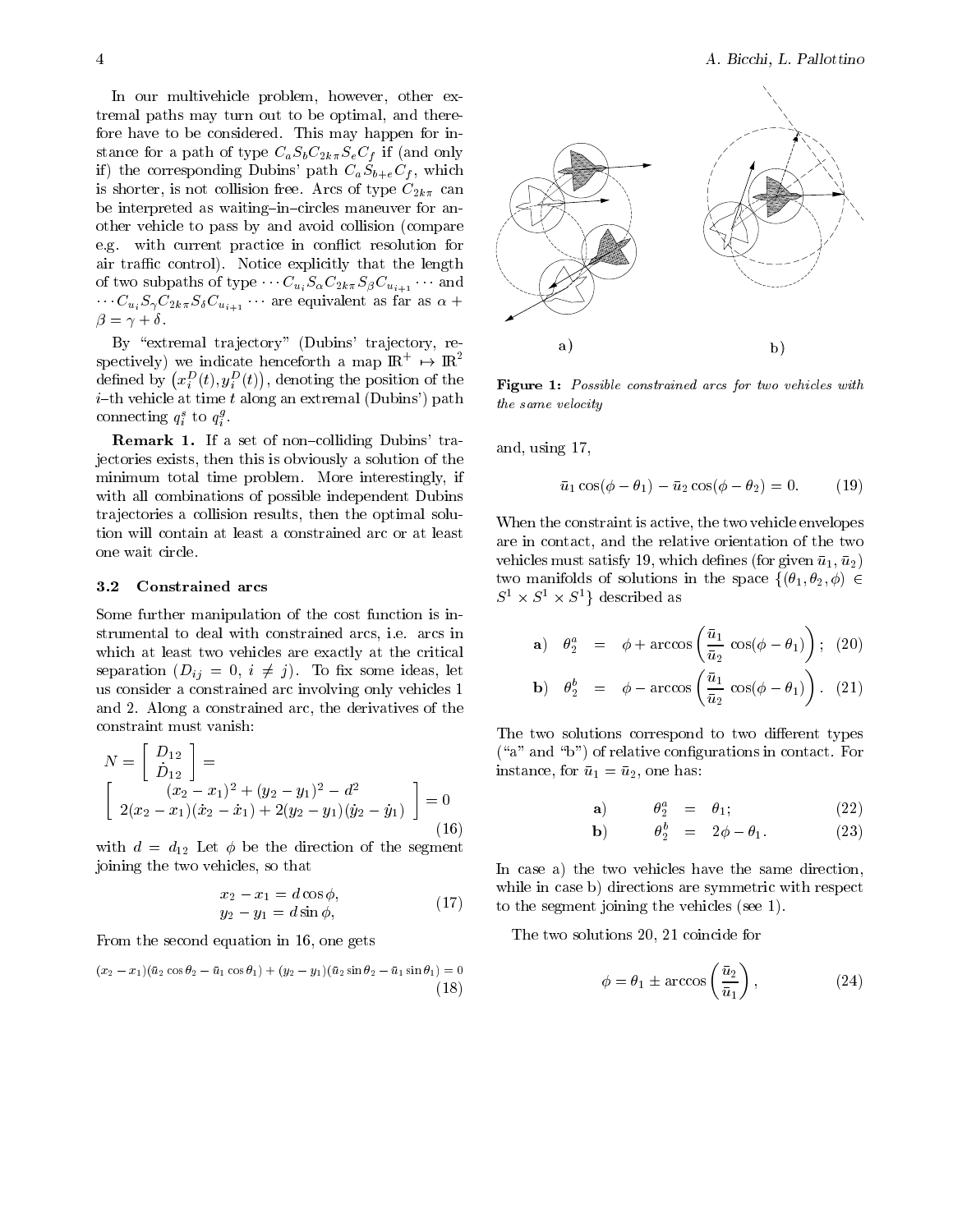In our multivehicle problem, however, other extremal paths may turn out to be optimal, and therefore have to be considered- This may happen for in stance for a path of type CaSbC-kSeCf if and only if) the corresponding Dubins' path  $C_aS_{b+e}C_f$ , which is shorter is not collision from the collision free-theory of type C-state and the collision of the collision o be interpreted as waiting in circles maneuver for an other vehicle to pass by and avoid collision compare e-g- with current practice in con!ict resolution for and trace controlled that the length that the length  $\sim$ of two subpaths of type  $\cdots \overline{C}_{u_i}$   $\partial_\alpha \overline{C}_{2k\pi}$   $\partial_\beta \overline{C}_{u_{i+1}}$  and  $C_{u_i}$  $C_{\gamma}$  $C_{2k\pi}$  $C_{\delta}$  $C_{u_{i+1}}$  are equivalent as rar as  $\alpha +$  $\beta = \gamma + \delta.$ 

By "extremal trajectory" (Dubins' trajectory, respectively) we indicate henceforth a map  $\,$   $\rm I\!R$   $\,$   $\,\rightarrow$   $\,$   $\rm I\!R$   $\,$ defined by  $\left(x_i^D(t), y_i^D(t)\right)$ , denoting the position of the  $_{\text{Fig}}$ i th vehicle at time talong an extremal Dubins path connecting  $q_i^s$  to  $q_i^s$ .

Remark If a set of non colliding Dubins tra jectories exists, then this is obviously a solution of the minimum total time problem- More interestingly if with all combinations of possible independent Dubins trajectories a collision results, then the optimal solution will contain at least a constrained arc or at least one wait circle-

### Constrained arcs

Some further manipulation of the cost function is instrumental to deal with constrained arcs in the complete arcs in the constraint of  $\sim$ which at least two vehicles are exactly at the critical separation  $(D_{ij} = 0, i \neq j)$ . To fix some ideas, let us consider a constrained arc involving only vehicles and 
- Along a constrained arc the derivatives of the constraint must vanish

$$
N = \begin{bmatrix} D_{12} \\ \dot{D}_{12} \end{bmatrix} = \begin{cases} (i) \\ \dot{D}_{12} \\ 2(x_2 - x_1)(\dot{x}_2 - \dot{x}_1) + 2(y_2 - y_1)(\dot{y}_2 - \dot{y}_1) \end{cases} = 0
$$
 (16)

with defining a decomposition of the sequence of the sequence of  $\Delta$ joining the two vehicles, so that

$$
x_2 - x_1 = d\cos\phi,
$$
  
\n
$$
y_2 - y_1 = d\sin\phi,
$$
\n(17)

From the second equation in 16, one gets

$$
(x_2 - x_1)(\bar{u}_2 \cos \theta_2 - \bar{u}_1 \cos \theta_1) + (y_2 - y_1)(\bar{u}_2 \sin \theta_2 - \bar{u}_1 \sin \theta_1) = 0
$$
\n(18)



Figure - Possible constrained arcs for two vehicles with the same velocity

and, using  $17$ ,

$$
\bar{u}_1 \cos(\phi - \theta_1) - \bar{u}_2 \cos(\phi - \theta_2) = 0. \tag{19}
$$

When the constraint is active, the two vehicle envelopes are in contact, and the relative orientation of the two  $\vee$  vehicles must satisfy the contract of given under the given under the given under under the given under the given under the given under the given under the given under the given under the given under the given under two manifolds of solutions in the space  $\{(\theta_1, \theta_2, \phi) \in$  $S^1 \times S^1 \times S^1$  described as

$$
\mathbf{a}) \quad \theta_2^a \quad = \quad \phi + \arccos\left(\frac{\bar{u}_1}{\bar{u}_2}\cos(\phi - \theta_1)\right); \quad (20)
$$

**b**) 
$$
\theta_2^b = \phi - \arccos\left(\frac{\bar{u}_1}{\bar{u}_2}\cos(\phi - \theta_1)\right)
$$
. (21)

The two solutions correspond to two different types a and b of relations in contact-definitions in contact-definitions in contact-definitions in contact-definitions in  $\mathbf{f}(\mathbf{x})$ instance for use of understanding the second contract of understanding  $\Delta$  in the second contract of understanding  $\Delta$ 

$$
\mathbf{a}) \qquad \theta_2^a = \theta_1; \qquad (22)
$$

$$
\mathbf{b}) \qquad \theta_2^b = 2\phi - \theta_1. \tag{23}
$$

In case a) the two vehicles have the same direction, while in case b) directions are symmetric with respect to the segment joining the vehicles (see  $1$ ).

The two solutions 20, 21 coincide for

$$
\phi = \theta_1 \pm \arccos\left(\frac{\bar{u}_2}{\bar{u}_1}\right),\tag{24}
$$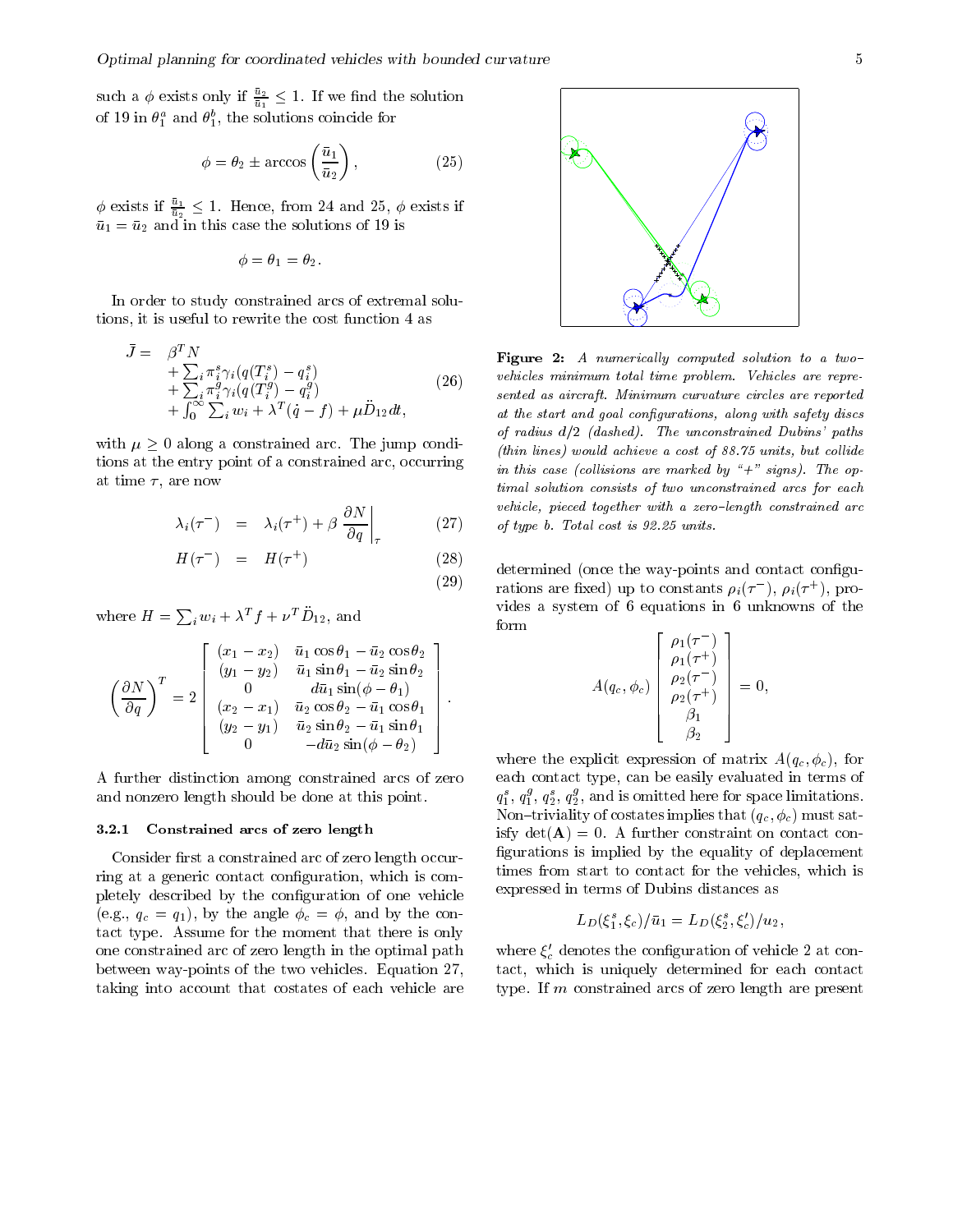such a  $\phi$  exists only if  $\frac{u_2}{\bar{u}_1} \leq 1$ . If we find the solution of 19 in  $\sigma_{\tilde{1}}$  and  $\sigma_{\tilde{1}},$  the solutions coincide for

$$
\phi = \theta_2 \pm \arccos\left(\frac{\bar{u}_1}{\bar{u}_2}\right),\tag{25}
$$

 $\phi$  exists if  $\frac{u_1}{\bar{u}_2} \leq 1$ . Hence, from 24 and 25,  $\phi$  exists if u and in this case the solutions of the solutions of the solutions of solutions of  $\mu$ 

$$
\phi = \theta_1 = \theta_2.
$$

In order to study constrained arcs of extremal solu tions, it is useful to rewrite the cost function 4 as

$$
\bar{J} = \beta^T N
$$
\n
$$
+ \sum_{i} \pi_i^s \gamma_i (q(T_i^s) - q_i^s)
$$
\n
$$
+ \sum_{i} \pi_i^g \gamma_i (q(T_i^g) - q_i^g)
$$
\n
$$
+ \int_0^\infty \sum_{i} w_i + \lambda^T (\dot{q} - f) + \mu \ddot{D}_{12} dt,
$$
\n(26)\n
$$
= \sum_{i} \beta_i^S \gamma_i (q(T_i^g) - q_i^g)
$$
\n
$$
= \sum_{i} \beta_i^S \gamma_i (q(T_i^g) - q_i^g)
$$
\n
$$
= \sum_{i} \beta_i^S \gamma_i (q(T_i^g) - q_i^g)
$$

with  $\mu \geq 0$  along a constrained arc. The jump conditions at the entry point of a constrained arc, occurring at time  $\tau$ , are now

$$
\lambda_i(\tau^-) = \lambda_i(\tau^+) + \beta \left. \frac{\partial N}{\partial q} \right|_{\tau} \tag{27} \qquad \text{(27)}
$$

$$
H(\tau^{-}) = H(\tau^{+}) \qquad (28)
$$
\n
$$
(29)
$$
\n
$$
(29)
$$

where  $H = \sum_i w_i + \lambda^T f + \nu^T D_{12}$ , and

$$
\left(\frac{\partial N}{\partial q}\right)^{T} = 2 \begin{bmatrix} (x_{1} - x_{2}) & \bar{u}_{1} \cos \theta_{1} - \bar{u}_{2} \cos \theta_{2} \\ (y_{1} - y_{2}) & \bar{u}_{1} \sin \theta_{1} - \bar{u}_{2} \sin \theta_{2} \\ 0 & d\bar{u}_{1} \sin(\phi - \theta_{1}) \\ (x_{2} - x_{1}) & \bar{u}_{2} \cos \theta_{2} - \bar{u}_{1} \cos \theta_{1} \\ (y_{2} - y_{1}) & \bar{u}_{2} \sin \theta_{2} - \bar{u}_{1} \sin \theta_{1} \\ 0 & -d\bar{u}_{2} \sin(\phi - \theta_{2}) \end{bmatrix}.
$$

A further distinction among constrained arcs of zero and nonzero length should be done at this point-

#### $3.2.1$ Constrained arcs of zero length

Consider first a constrained arc of zero length occurring at a generic contact configuration, which is completely described by the configuration of one vehicle  $\mathbf{y} = \mathbf{y} - \mathbf{y}$  , and the contract contract of  $\mathbf{y} = \mathbf{y} - \mathbf{y}$  and  $\mathbf{y} = \mathbf{y} - \mathbf{y}$ tact type- tact moment that the momental that there is on the  $\eta$ one constrained arc of zero length in the optimal path  $\mathcal{L}$  between waypoints of the two vehicles-two vehicles-two vehicles-two vehiclestaking into account that costates of each vehicle are



Figure -A numerical ly computed solution to a two vehicles minimum total time problem- Vehicles are repre sented as aircraft- Minimum curvature circles are reported at the start and goal configurations, along with safety discs of radius definitions and discussed and defined and defined and paths of the unconstrained and definition of the unconstraints of the unconstraints of the unconstraints of the unconstraints of the unconstraints of the unco thin lines would achieve a cost of series which is an achieve and  $\alpha$ in this case presented by a marked by a completely with the collection of the operation of the operation of th timal solution consists of two unconstrained arcs for each vehicle, pieced together with a zero-length constrained arc of type b- Total cost is - units-

determined (once the way-points and contact configurations are fixed) up to constants  $\rho_i(\tau_-)$ ,  $\rho_i(\tau_-)$ , provides a system of 6 equations in 6 unknowns of the form  $\rightarrow$   $\rightarrow$   $\rightarrow$ 

and the contract of the contract of the contract of the contract of the contract of the contract of the contract of

$$
A(q_c, \phi_c) \begin{bmatrix} \rho_1(\tau^-) \\ \rho_1(\tau^+) \\ \rho_2(\tau^-) \\ \rho_2(\tau^+) \\ \beta_1 \\ \beta_2 \end{bmatrix} = 0,
$$

where the explicit expression of matrix  $A(q_c, \phi_c)$ , for each contact type, can be easily evaluated in terms of  $q_1^s, q_1^s, q_2^s, q_2^s$ , and is omitted here for space limitations. Non-triviality of costates in the costates in the costates in the costates in the costates in the costates in the costates in the costates in the costates in the costates in the costates in the costates in the costates in isfy detA - A further constraint on contact con figurations is implied by the equality of deplacement times from start to contact for the vehicles, which is expressed in terms of Dubins distances as

$$
L_D(\xi_1^s, \xi_c)/\bar{u}_1 = L_D(\xi_2^s, \xi_c')/u_2,
$$

where  $\zeta_c$  denotes the configuration of vehicle 2 at contact, which is uniquely determined for each contact type- If m constrained arcs of zero length are present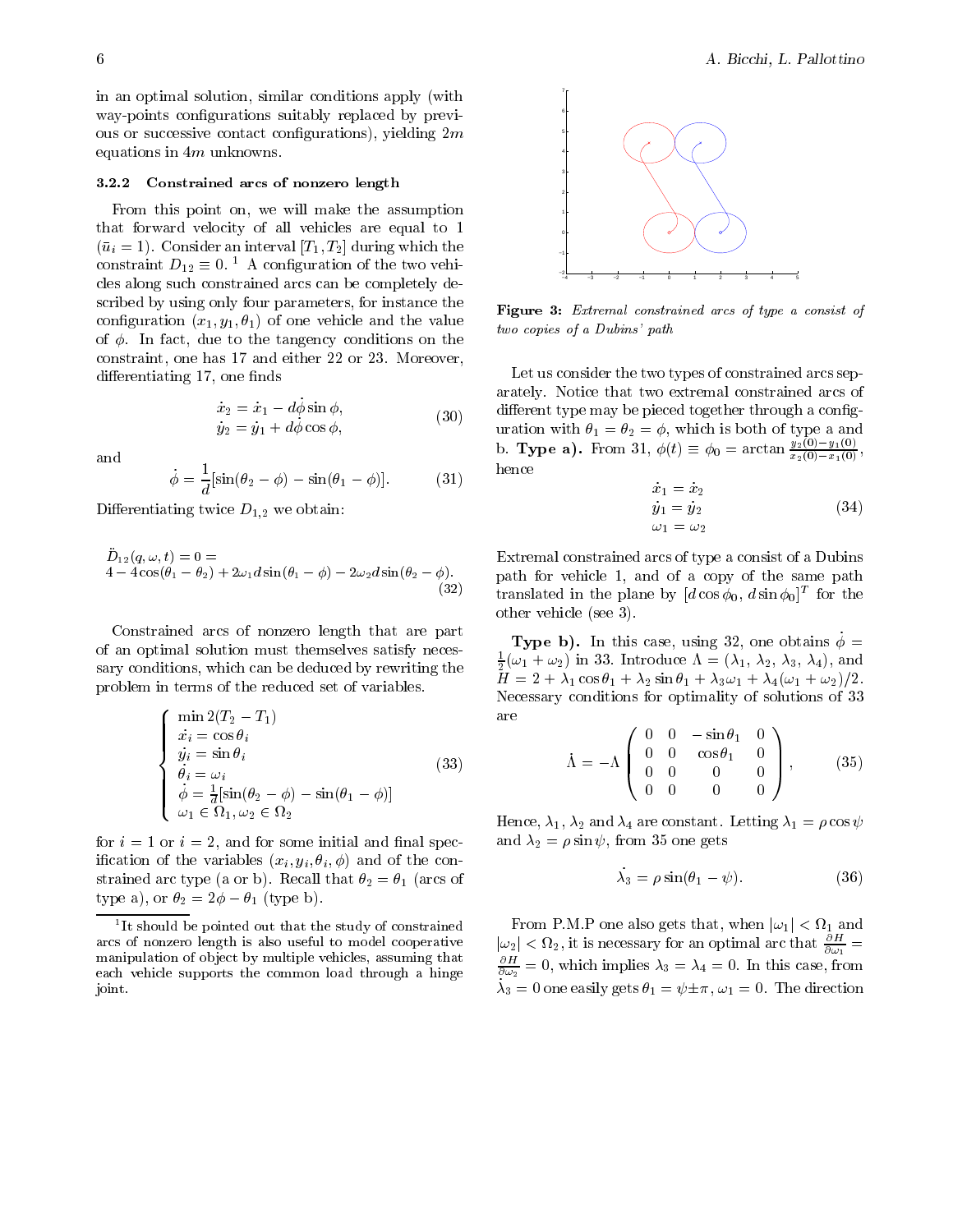in an optimal solution, similar conditions apply (with way-points configurations suitably replaced by previous or successive contact configurations), yielding  $2m$ equations in  $4m$  unknowns.

### Constrained arcs of nonzero length

From this point on, we will make the assumption that forward velocity of all vehicles are equal to  $\begin{array}{ccc} \ddots & \ddots & \ddots & \ddots \end{array}$ constraint  $D_{12} \equiv 0$ .  $\pm$  A configuration of the two vehicles along such constrained arcs can be completely de scribed by using only four parameters, for instance the conguration x y - of one vehicle and the value of the control which the the theory conditions on the theory of the tangency of the theory of the theory of the constraint one has  and either 

 or 
- Moreover differentiating 17, one finds

$$
\begin{aligned}\n\dot{x}_2 &= \dot{x}_1 - d\phi \sin \phi, \\
\dot{y}_2 &= \dot{y}_1 + d\dot{\phi} \cos \phi,\n\end{aligned} \tag{30}
$$

and

$$
\dot{\phi} = \frac{1}{d} [\sin(\theta_2 - \phi) - \sin(\theta_1 - \phi)].
$$
 (31)

Di"erentiating twice D- we obtain

$$
\ddot{D}_{12}(q,\omega,t) = 0 =
$$
  
4-4 cos( $\theta_1$  -  $\theta_2$ ) + 2 $\omega_1 d$  sin( $\theta_1$  -  $\phi$ ) - 2 $\omega_2 d$  sin( $\theta_2$  -  $\phi$ ). (32)

Constrained arcs of nonzero length that are part of an optimal solution must themselves satisfy neces sary conditions, which can be deduced by rewriting the problem in terms of the reduced set of variables-

$$
\begin{cases}\n\min_{\dot{x}_i = \cos \theta_i} & \text{a} \\
\dot{y}_i = \sin \theta_i & \text{b} \\
\dot{\theta}_i = \omega_i & \text{c} \\
\dot{\phi} = \frac{1}{d} [\sin(\theta_2 - \phi) - \sin(\theta_1 - \phi)] \\
\omega_1 \in \Omega_1, \omega_2 \in \Omega_2\n\end{cases}
$$
\n
$$
(33)
$$

for  $i = 1$  or  $i = 2$ , and for some initial and final specinclude  $\left\{ \begin{array}{c} i \neq i \end{array} \right\}$  , where  $i \neq j$  is a single-connected subset of the connected subset of the connected subset of the connected subset of the connected subset of the connected subset of the connected sub strained arc type (if it will need with the six  $\Delta$  arc if (if it is a or both type a), or  $v_2 = 2\varphi = v_1$  (type b).



Figure - Extremal constrained arcs of type a consist of two copies of a Dubins' path

Let us consider the two types of constrained arcs sep arately-believe that two extremal constrained arcs of two extremal constrained arcs of two extremal constrained arcs of two extremal constrained arcs of two extremal constrained arcs of two extremal constrained arcs of two different type may be pieced together through a configwith  $\cdots$  and  $\cdots$  and  $\cdots$  and  $\cdots$  and  $\cdots$  and  $\cdots$  and  $\cdots$  and  $\cdots$  and  $\cdots$  and  $\cdots$ b. Type a). From 31,  $\varphi(t) \equiv \varphi_0 = \arctan \frac{\pi^2(0)}{\pi^2(0)} \frac{\pi^2(0)}{\pi^2(0)}$ ,  $x_2(0) - x_1(0)$ hence

$$
\begin{aligned}\n\dot{x}_1 &= \dot{x}_2\\ \n\dot{y}_1 &= \dot{y}_2\\ \n\omega_1 &= \omega_2\n\end{aligned} \tag{34}
$$

 $\sim$  path for vehicle 1, and of a copy of the same path translated in the plane by  $\left[a\cos\varphi_0, a\sin\varphi_0\right]^2$  for the Extremal constrained arcs of type a consist of a Dubins other vehicle (see  $3$ ).

> **Type b).** In this case, using 32, one obtains  $\dot{\phi}$  =  $\frac{1}{2}(\omega_1 + \omega_2)$  in 33. Introduce  $\Lambda = (\lambda_1, \lambda_2, \lambda_3, \lambda_4)$ , and  $\mathbf{H} \times \mathbf{H} = \mathbf{H} \times \mathbf{H} = \mathbf{H} \times \mathbf{H} = \mathbf{H} \times \mathbf{H} = \mathbf{H} \times \mathbf{H} = \mathbf{H} \times \mathbf{H} = \mathbf{H} \times \mathbf{H} \times \mathbf{H} = \mathbf{H} \times \mathbf{H} \times \mathbf{H} = \mathbf{H} \times \mathbf{H} \times \mathbf{H} = \mathbf{H} \times \mathbf{H} \times \mathbf{H} = \mathbf{H} \times \mathbf{H} \times \mathbf{H} = \mathbf{H} \times \mathbf{H} \$ Necessary conditions for optimality of solutions of 33 are

$$
\dot{\Lambda} = -\Lambda \begin{pmatrix} 0 & 0 & -\sin \theta_1 & 0 \\ 0 & 0 & \cos \theta_1 & 0 \\ 0 & 0 & 0 & 0 \\ 0 & 0 & 0 & 0 \end{pmatrix}, \quad (35)
$$

 $\mathcal{L} = \{ \mathbf{L}^T \mathbf{L}^T \mathbf{L}^T \mathbf{L}^T \mathbf{L}^T \mathbf{L}^T \mathbf{L}^T \mathbf{L}^T \mathbf{L}^T \mathbf{L}^T \mathbf{L}^T \mathbf{L}^T \mathbf{L}^T \mathbf{L}^T \mathbf{L}^T \mathbf{L}^T \mathbf{L}^T \mathbf{L}^T \mathbf{L}^T \mathbf{L}^T \mathbf{L}^T \mathbf{L}^T \mathbf{L}^T \mathbf{L}^T \mathbf{L}^T \mathbf{L}^T \mathbf$  $\cdots$   $\cdots$   $\cdots$   $\cdots$   $\cdots$   $\cdots$   $\cdots$   $\cdots$ 

$$
\lambda_3 = \rho \sin(\theta_1 - \psi). \tag{36}
$$

From P.M.P one also gets that, when  $|\omega_1| < \Omega_1$  and  $|\omega_2| < \Omega_2$ , it is necessary for an optimal arc that  $\frac{\partial H}{\partial \omega_1} = \frac{\partial H}{\partial \omega_2} = 0$ , which implies  $\lambda_3 = \lambda_4 = 0$ . In this case, from  $\lambda_3 = 0$  one easily gets  $\theta_1 = \psi \pm \pi, \omega_1 = 0$ . The direction

It should be pointed out that the study of constrained arcs of nonzero length is also useful to model cooperative manipulation of object by multiple vehicles, assuming that each vehicle supports the common load through a hinge joint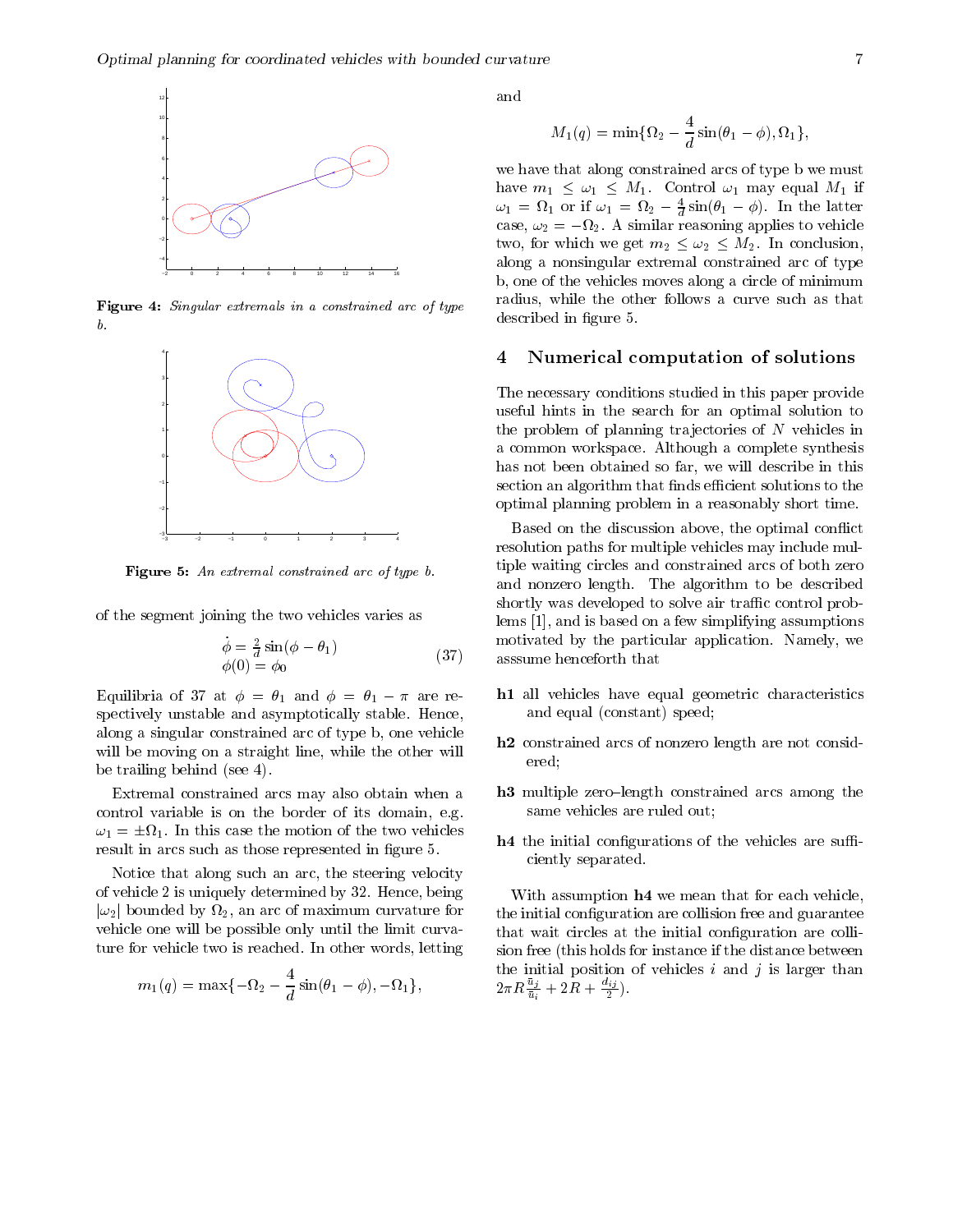

Figure - Singular extremals in a constrained arc of type  $\mathfrak{b}.$ 



 $\bf r$  igure  $\bf s$ : An extremal constrained arc of type  $\bf v$ .

of the segment joining the two vehicles varies as

$$
\begin{array}{l}\n\phi = \frac{2}{d}\sin(\phi - \theta_1) \\
\phi(0) = \phi_0\n\end{array} \n\tag{37}
$$

Equilibria of  $\sigma t$  at  $\varphi = v_1$  and  $\varphi = v_1 - \pi$  are referent spectively unstable and asymptotically stable- Hence along a singular constrained arc of type b, one vehicle will be moving on a straight line, while the other will be trailing behind (see  $4$ ).

Extremal constrained arcs may also obtain when a control variable is on the border of its domain e-g- $\omega_1 = \pm \Omega_1$ . In this case the motion of the two vehicles result in arcs such as those represented in figure 5.

Notice that along such an arc, the steering velocity of vehicles and determined by the contract of the contract of the company of the contract of the contract of the  $|\omega_2|$  bounded by  $\Omega_2,$  an arc of maximum curvature for  $\quad\hbox{ th}$ vehicle one will be possible only until the limit curva ture for vehicle two is reached- In other words letting

$$
m_1(q)=\max\{-\Omega_2-\frac{4}{d}\sin(\theta_1-\phi),-\Omega_1\},
$$

$$
M_1(q)=\min\{\Omega_2-\frac{4}{d}\sin(\theta_1-\phi),\Omega_1\},
$$

we have that along constrained arcs of type b we must have  $m_1 \leq \omega_1 \leq M_1$ . Control  $\omega_1$  may equal  $M_1$  if  $\omega_1 = \nu_1$  or if  $\omega_1 = \nu_2 - \frac{1}{2} \sin(\theta_1 - \varphi)$ . In the latter  $\alpha$  $\cos, \omega_2 = -\omega_2$ . A similar reasoning applies to vehicle two, for which we get  $m_2 \leq \omega_2 \leq M_2$ . In conclusion, along a nonsingular extremal constrained arc of type b, one of the vehicles moves along a circle of minimum radius, while the other follows a curve such as that described in figure 5.

### Numerical computation of solutions

The necessary conditions studied in this paper provide useful hints in the search for an optimal solution to the problem of planning trajectories of  $N$  vehicles in a common workspace- Although a complete synthesis has not been obtained so far, we will describe in this section an algorithm that finds efficient solutions to the optimal planning problem in a reasonably short time-

 $\sqrt{2}$  associated that the that  $\alpha$ Based on the discussion above, the optimal conflict resolution paths for multiple vehicles may include mul tiple waiting circles and constrained arcs of both zero and  $\mathbf{A}$ shortly was developed to solve air traffic control problems  $[1]$ , and is based on a few simplifying assumptions motivated by the particular application-

- h1 all vehicles have equal geometric characteristics and equal (constant) speed;
- h- constrained arcs of nonzero length are not consid ered
- h multiple zero length constrained arcs among the same vehicles are ruled out
- **the initial configurations of the vehicles are suffi**ciently separated.

With assumption  $h4$  we mean that for each vehicle, the initial configuration are collision free and guarantee that wait circles at the initial configuration are collision free (this holds for instance if the distance between the initial position of vehicles  $i$  and  $j$  is larger than  $2\pi R \frac{z_1}{\bar{u}_i} + 2R + \frac{z_1}{2}$ ).  $\sim$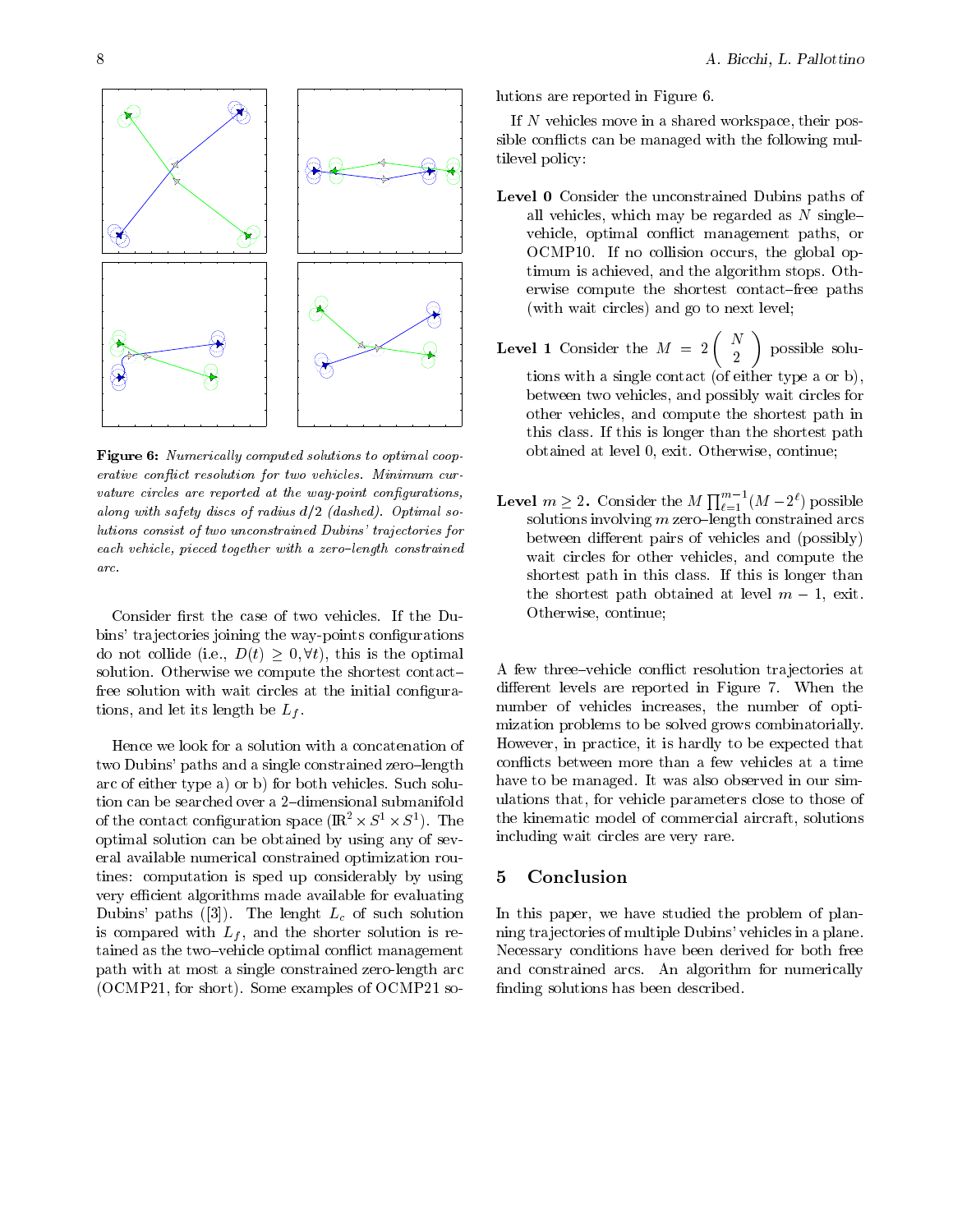

**Figure 6:** Ivamerically computed solutions to optimal coop erative conict resolution for two vehicles- Minimum cur vature circles are reported at the way-point configurations. along with safety discuss of radius definition function from the provinces of the control of the control of the lutions consist of two unconstrained Dubins' trajectories for each vehicle, pieced together with a zero-length constrained arc-

bins' trajectories joining the way-points configurations do not collide (i.e.,  $D(t) \geq 0, \forall t$ ), this is the optimal solution- Otherwise we compute the shortest contact free solution with wait circles at the initial configurations and let its let its letter and letter and letter and letter and letter and letter and letter and letter

Hence we look for a solution with a concatenation of two Dubins paths and a single constrained zero length arc of either type a or both solutions were also been both vehicles and the solutions of the solution of the s of the contact configuration space  $(\mathbb{R}^+ \times S^+ \times S^+)$ . The sum optimal solution can be obtained by using any of sev eral available numerical constrained optimization rou tines: computation is sped up considerably by using  $5$ very efficient algorithms made available for evaluating ductions in the latter of such solutions of such solutions of such solutions of such solutions of such a such is compared with Lf and the shorter solution isre tained as the two controls optimal commute managements as the path with at most a single constrained zero-length arc , o cheered in the some complete of cheered and the

lutions are reported in Figure 6.

If  $N$  vehicles move in a shared workspace, their possible conflicts can be managed with the following multilevel policy

- Level 0 Consider the unconstrained Dubins paths of all vehicles, which may be regarded as  $N$  singlevehicle, optimal conflict management paths, or OCMP- If no collision occurs the global op timum is achieved and the algorithm stops-distributed and the algorithm stops-distributed and the algorithm stopserwise computer the shortest contact contact paths in (with wait circles) and go to next level;
- **Level 1** Consider the  $M = 2 \begin{pmatrix} N \\ 2 \end{pmatrix}$  possible solutions with a single contact (of either type a or b), between two vehicles and possibly wait circles for other vehicles, and compute the shortest path in this class-interaction is longer than the shortest path  $\mathbb{I}$  this is longer than the shortest path of  $\mathbb{I}$ <u>commentative at level at level and continued at level and</u>
- **Level**  $m \geq 2$ . Consider the  $M \prod_{\ell=1}^{m-1} (M-2^{\ell})$  possible solutions in versions in a constraint constraint constraint constraint constraint constraint constraint constr between different pairs of vehicles and (possibly) wait circles for other vehicles, and compute the shortest path in this is longer than the class-class-class-class-class-class-class-class-class-class-class-classthe shortest path obtained at level  $m-1$ , exit. Otherwise, continue;

A few three vehicle con!ict resolution tra jectories at discussion is a contract the contract of the contract of the contract of the contract of the contract of the c number of vehicles increases, the number of optimization problems to be solved grows combinatorially-However, in practice, it is hardly to be expected that conflicts between more than a few vehicles at a time have to be managed- It was also observed in our sim ulations that, for vehicle parameters close to those of the kinematic model of commercial aircraft, solutions including wait circles are very rare.

### Conclusion

In this paper, we have studied the problem of planning trajectories of multiple Dubins' vehicles in a plane. Necessary conditions have been derived for both free and constrained arcs-constrained arcs-constrained arcs-constrained arcs-construction of the second constraints finding solutions has been described.